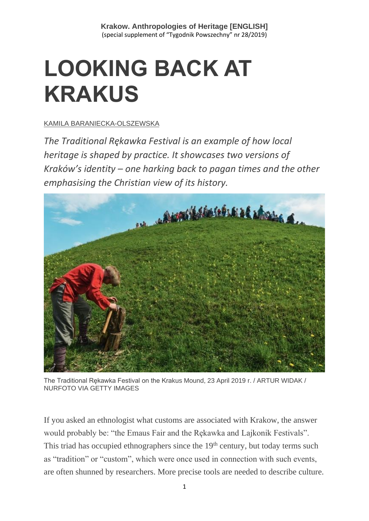# **LOOKING BACK AT KRAKUS**

### [KAMILA BARANIECKA-OLSZEWSKA](https://www.tygodnikpowszechny.pl/autor/kamila-baraniecka-olszewska-20197)

*The Traditional Rękawka Festival is an example of how local heritage is shaped by practice. It showcases two versions of Kraków's identity – one harking back to pagan times and the other emphasising the Christian view of its history.*



The Traditional Rękawka Festival on the Krakus Mound, 23 April 2019 r. / ARTUR WIDAK / NURFOTO VIA GETTY IMAGES

If you asked an ethnologist what customs are associated with Krakow, the answer would probably be: "the Emaus Fair and the Rękawka and Lajkonik Festivals". This triad has occupied ethnographers since the  $19<sup>th</sup>$  century, but today terms such as "tradition" or "custom", which were once used in connection with such events, are often shunned by researchers. More precise tools are needed to describe culture.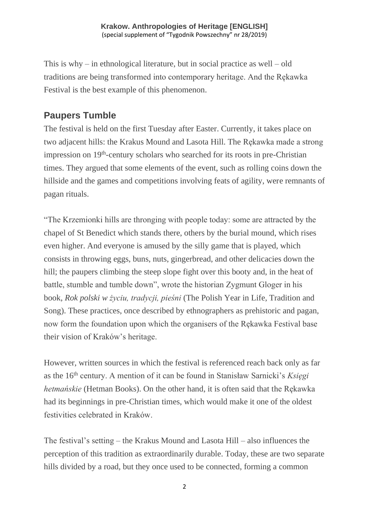This is why – in ethnological literature, but in social practice as well – old traditions are being transformed into contemporary heritage. And the Rękawka Festival is the best example of this phenomenon.

# **Paupers Tumble**

The festival is held on the first Tuesday after Easter. Currently, it takes place on two adjacent hills: the Krakus Mound and Lasota Hill. The Rękawka made a strong impression on 19<sup>th</sup>-century scholars who searched for its roots in pre-Christian times. They argued that some elements of the event, such as rolling coins down the hillside and the games and competitions involving feats of agility, were remnants of pagan rituals.

"The Krzemionki hills are thronging with people today: some are attracted by the chapel of St Benedict which stands there, others by the burial mound, which rises even higher. And everyone is amused by the silly game that is played, which consists in throwing eggs, buns, nuts, gingerbread, and other delicacies down the hill; the paupers climbing the steep slope fight over this booty and, in the heat of battle, stumble and tumble down", wrote the historian Zygmunt Gloger in his book, *Rok polski w życiu, tradycji, pieśni* (The Polish Year in Life, Tradition and Song). These practices, once described by ethnographers as prehistoric and pagan, now form the foundation upon which the organisers of the Rękawka Festival base their vision of Kraków's heritage.

However, written sources in which the festival is referenced reach back only as far as the 16th century. A mention of it can be found in Stanisław Sarnicki's *Księgi hetmańskie* (Hetman Books). On the other hand, it is often said that the Rękawka had its beginnings in pre-Christian times, which would make it one of the oldest festivities celebrated in Kraków.

The festival's setting – the Krakus Mound and Lasota Hill – also influences the perception of this tradition as extraordinarily durable. Today, these are two separate hills divided by a road, but they once used to be connected, forming a common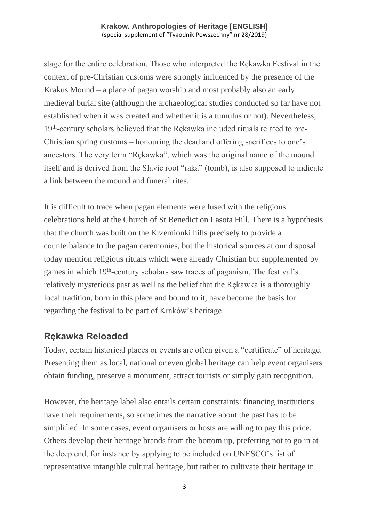stage for the entire celebration. Those who interpreted the Rękawka Festival in the context of pre-Christian customs were strongly influenced by the presence of the Krakus Mound – a place of pagan worship and most probably also an early medieval burial site (although the archaeological studies conducted so far have not established when it was created and whether it is a tumulus or not). Nevertheless, 19<sup>th</sup>-century scholars believed that the Rękawka included rituals related to pre-Christian spring customs – honouring the dead and offering sacrifices to one's ancestors. The very term "Rękawka", which was the original name of the mound itself and is derived from the Slavic root "raka" (tomb), is also supposed to indicate a link between the mound and funeral rites.

It is difficult to trace when pagan elements were fused with the religious celebrations held at the Church of St Benedict on Lasota Hill. There is a hypothesis that the church was built on the Krzemionki hills precisely to provide a counterbalance to the pagan ceremonies, but the historical sources at our disposal today mention religious rituals which were already Christian but supplemented by games in which 19<sup>th</sup>-century scholars saw traces of paganism. The festival's relatively mysterious past as well as the belief that the Rękawka is a thoroughly local tradition, born in this place and bound to it, have become the basis for regarding the festival to be part of Kraków's heritage.

## **Rękawka Reloaded**

Today, certain historical places or events are often given a "certificate" of heritage. Presenting them as local, national or even global heritage can help event organisers obtain funding, preserve a monument, attract tourists or simply gain recognition.

However, the heritage label also entails certain constraints: financing institutions have their requirements, so sometimes the narrative about the past has to be simplified. In some cases, event organisers or hosts are willing to pay this price. Others develop their heritage brands from the bottom up, preferring not to go in at the deep end, for instance by applying to be included on UNESCO's list of representative intangible cultural heritage, but rather to cultivate their heritage in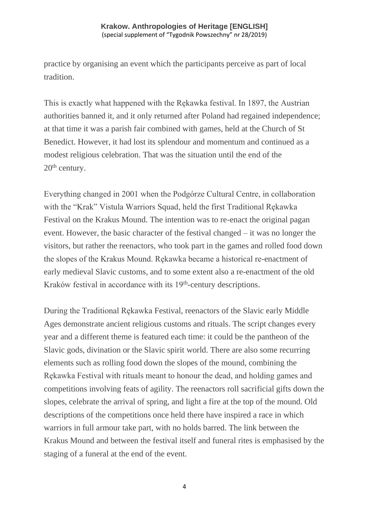practice by organising an event which the participants perceive as part of local tradition.

This is exactly what happened with the Rękawka festival. In 1897, the Austrian authorities banned it, and it only returned after Poland had regained independence; at that time it was a parish fair combined with games, held at the Church of St Benedict. However, it had lost its splendour and momentum and continued as a modest religious celebration. That was the situation until the end of the 20<sup>th</sup> century.

Everything changed in 2001 when the Podgórze Cultural Centre, in collaboration with the "Krak" Vistula Warriors Squad, held the first Traditional Rękawka Festival on the Krakus Mound. The intention was to re-enact the original pagan event. However, the basic character of the festival changed – it was no longer the visitors, but rather the reenactors, who took part in the games and rolled food down the slopes of the Krakus Mound. Rękawka became a historical re-enactment of early medieval Slavic customs, and to some extent also a re-enactment of the old Kraków festival in accordance with its 19<sup>th</sup>-century descriptions.

During the Traditional Rękawka Festival, reenactors of the Slavic early Middle Ages demonstrate ancient religious customs and rituals. The script changes every year and a different theme is featured each time: it could be the pantheon of the Slavic gods, divination or the Slavic spirit world. There are also some recurring elements such as rolling food down the slopes of the mound, combining the Rękawka Festival with rituals meant to honour the dead, and holding games and competitions involving feats of agility. The reenactors roll sacrificial gifts down the slopes, celebrate the arrival of spring, and light a fire at the top of the mound. Old descriptions of the competitions once held there have inspired a race in which warriors in full armour take part, with no holds barred. The link between the Krakus Mound and between the festival itself and funeral rites is emphasised by the staging of a funeral at the end of the event.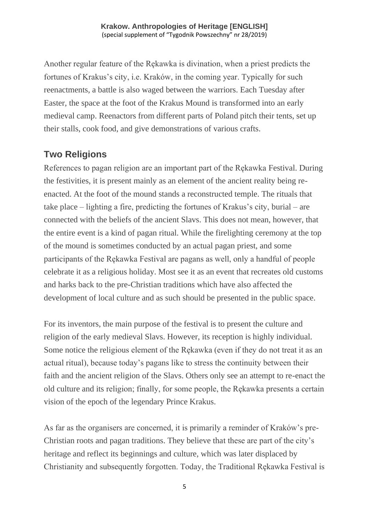Another regular feature of the Rękawka is divination, when a priest predicts the fortunes of Krakus's city, i.e. Kraków, in the coming year. Typically for such reenactments, a battle is also waged between the warriors. Each Tuesday after Easter, the space at the foot of the Krakus Mound is transformed into an early medieval camp. Reenactors from different parts of Poland pitch their tents, set up their stalls, cook food, and give demonstrations of various crafts.

# **Two Religions**

References to pagan religion are an important part of the Rękawka Festival. During the festivities, it is present mainly as an element of the ancient reality being reenacted. At the foot of the mound stands a reconstructed temple. The rituals that take place – lighting a fire, predicting the fortunes of Krakus's city, burial – are connected with the beliefs of the ancient Slavs. This does not mean, however, that the entire event is a kind of pagan ritual. While the firelighting ceremony at the top of the mound is sometimes conducted by an actual pagan priest, and some participants of the Rękawka Festival are pagans as well, only a handful of people celebrate it as a religious holiday. Most see it as an event that recreates old customs and harks back to the pre-Christian traditions which have also affected the development of local culture and as such should be presented in the public space.

For its inventors, the main purpose of the festival is to present the culture and religion of the early medieval Slavs. However, its reception is highly individual. Some notice the religious element of the Rękawka (even if they do not treat it as an actual ritual), because today's pagans like to stress the continuity between their faith and the ancient religion of the Slavs. Others only see an attempt to re-enact the old culture and its religion; finally, for some people, the Rękawka presents a certain vision of the epoch of the legendary Prince Krakus.

As far as the organisers are concerned, it is primarily a reminder of Kraków's pre-Christian roots and pagan traditions. They believe that these are part of the city's heritage and reflect its beginnings and culture, which was later displaced by Christianity and subsequently forgotten. Today, the Traditional Rękawka Festival is

5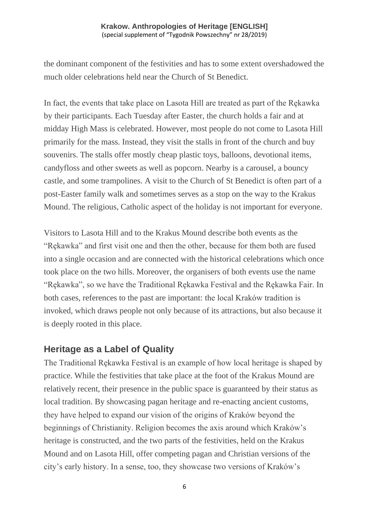the dominant component of the festivities and has to some extent overshadowed the much older celebrations held near the Church of St Benedict.

In fact, the events that take place on Lasota Hill are treated as part of the Rękawka by their participants. Each Tuesday after Easter, the church holds a fair and at midday High Mass is celebrated. However, most people do not come to Lasota Hill primarily for the mass. Instead, they visit the stalls in front of the church and buy souvenirs. The stalls offer mostly cheap plastic toys, balloons, devotional items, candyfloss and other sweets as well as popcorn. Nearby is a carousel, a bouncy castle, and some trampolines. A visit to the Church of St Benedict is often part of a post-Easter family walk and sometimes serves as a stop on the way to the Krakus Mound. The religious, Catholic aspect of the holiday is not important for everyone.

Visitors to Lasota Hill and to the Krakus Mound describe both events as the "Rękawka" and first visit one and then the other, because for them both are fused into a single occasion and are connected with the historical celebrations which once took place on the two hills. Moreover, the organisers of both events use the name "Rękawka", so we have the Traditional Rękawka Festival and the Rękawka Fair. In both cases, references to the past are important: the local Kraków tradition is invoked, which draws people not only because of its attractions, but also because it is deeply rooted in this place.

## **Heritage as a Label of Quality**

The Traditional Rękawka Festival is an example of how local heritage is shaped by practice. While the festivities that take place at the foot of the Krakus Mound are relatively recent, their presence in the public space is guaranteed by their status as local tradition. By showcasing pagan heritage and re-enacting ancient customs, they have helped to expand our vision of the origins of Kraków beyond the beginnings of Christianity. Religion becomes the axis around which Kraków's heritage is constructed, and the two parts of the festivities, held on the Krakus Mound and on Lasota Hill, offer competing pagan and Christian versions of the city's early history. In a sense, too, they showcase two versions of Kraków's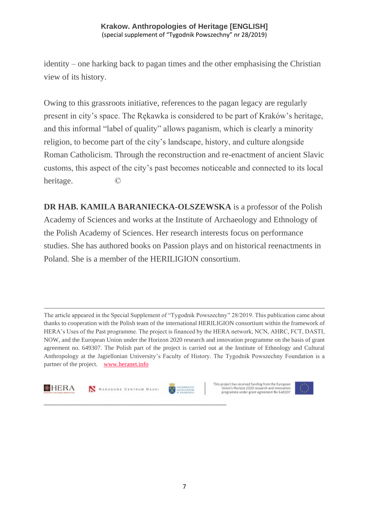identity – one harking back to pagan times and the other emphasising the Christian view of its history.

Owing to this grassroots initiative, references to the pagan legacy are regularly present in city's space. The Rękawka is considered to be part of Kraków's heritage, and this informal "label of quality" allows paganism, which is clearly a minority religion, to become part of the city's landscape, history, and culture alongside Roman Catholicism. Through the reconstruction and re-enactment of ancient Slavic customs, this aspect of the city's past becomes noticeable and connected to its local heritage. ©

**DR HAB. KAMILA BARANIECKA-OLSZEWSKA** is a professor of the Polish Academy of Sciences and works at the Institute of Archaeology and Ethnology of the Polish Academy of Sciences. Her research interests focus on performance studies. She has authored books on Passion plays and on historical reenactments in Poland. She is a member of the HERILIGION consortium.

The article appeared in the Special Supplement of "Tygodnik Powszechny" 28/2019. This publication came about thanks to cooperation with the Polish team of the international HERILIGION consortium within the framework of HERA's Uses of the Past programme. The project is financed by the HERA network, NCN, AHRC, FCT, DASTI, NOW, and the European Union under the Horizon 2020 research and innovation programme on the basis of grant agreement no. 649307. The Polish part of the project is carried out at the Institute of Ethnology and Cultural Anthropology at the Jagiellonian University's Faculty of History. The Tygodnik Powszechny Foundation is a partner of the project. [www.heranet.info](http://www.heranet.info/)



N NARODOWE CENTRUM NAUKI

**\_\_\_\_\_\_\_\_\_\_\_\_\_\_\_\_\_\_\_\_\_\_\_\_\_\_\_\_\_\_\_\_\_\_\_\_\_\_\_\_\_\_\_\_\_\_\_\_\_\_\_\_\_\_\_\_\_\_\_**



This project has received funding from the European Union's Horizon 2020 research and innovation<br>programme under grant agreement No 649307

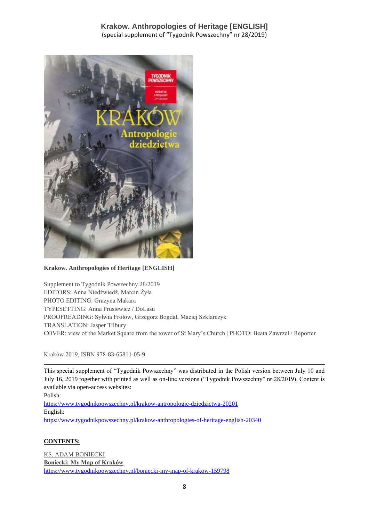

**Krakow. Anthropologies of Heritage [ENGLISH]**

Supplement to Tygodnik Powszechny 28/2019 EDITORS: Anna Niedźwiedź, Marcin Żyła PHOTO EDITING: Grażyna Makara TYPESETTING: Anna Prusiewicz / DoLasu PROOFREADING: Sylwia Frołow, Grzegorz Bogdał, Maciej Szklarczyk TRANSLATION: Jasper Tilbury COVER: view of the Market Square from the tower of St Mary's Church | PHOTO: Beata Zawrzel / Reporter

Kraków 2019, ISBN 978-83-65811-05-9

This special supplement of "Tygodnik Powszechny" was distributed in the Polish version between July 10 and July 16, 2019 together with printed as well as on-line versions ("Tygodnik Powszechny" nr 28/2019). Content is available via open-access websites:

Polish:

<https://www.tygodnikpowszechny.pl/krakow-antropologie-dziedzictwa-20201> English: <https://www.tygodnikpowszechny.pl/krakow-anthropologies-of-heritage-english-20340>

#### **CONTENTS:**

[KS. ADAM BONIECKI](https://www.tygodnikpowszechny.pl/autor/ks-adam-boniecki-52) **[Boniecki: My Map of Kraków](https://www.tygodnikpowszechny.pl/boniecki-my-map-of-krakow-159798)** <https://www.tygodnikpowszechny.pl/boniecki-my-map-of-krakow-159798>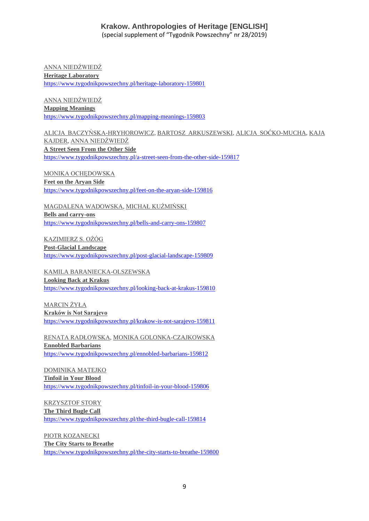[ANNA NIEDŹWIEDŹ](https://www.tygodnikpowszechny.pl/autor/anna-niedzwiedz-1163) **[Heritage Laboratory](https://www.tygodnikpowszechny.pl/heritage-laboratory-159801)** <https://www.tygodnikpowszechny.pl/heritage-laboratory-159801>

[ANNA NIEDŹWIEDŹ](https://www.tygodnikpowszechny.pl/autor/anna-niedzwiedz-1163) **[Mapping Meanings](https://www.tygodnikpowszechny.pl/mapping-meanings-159803)** <https://www.tygodnikpowszechny.pl/mapping-meanings-159803>

[ALICJA BACZYŃSKA-HRYHOROWICZ,](https://www.tygodnikpowszechny.pl/autor/alicja-baczynska-hryhorowicz-20191) [BARTOSZ ARKUSZEWSKI,](https://www.tygodnikpowszechny.pl/autor/bartosz-arkuszewski-20192) [ALICJA SOĆKO-MUCHA,](https://www.tygodnikpowszechny.pl/autor/alicja-socko-mucha-20193) [KAJA](https://www.tygodnikpowszechny.pl/autor/kaja-kajder-20194)  [KAJDER,](https://www.tygodnikpowszechny.pl/autor/kaja-kajder-20194) [ANNA NIEDŹWIEDŹ](https://www.tygodnikpowszechny.pl/autor/anna-niedzwiedz-1163) **[A Street Seen From the Other Side](https://www.tygodnikpowszechny.pl/a-street-seen-from-the-other-side-159817)** <https://www.tygodnikpowszechny.pl/a-street-seen-from-the-other-side-159817>

[MONIKA OCHĘDOWSKA](https://www.tygodnikpowszechny.pl/autor/monika-ochedowska-16005) **[Feet on the Aryan Side](https://www.tygodnikpowszechny.pl/feet-on-the-aryan-side-159816)** <https://www.tygodnikpowszechny.pl/feet-on-the-aryan-side-159816>

[MAGDALENA WADOWSKA,](https://www.tygodnikpowszechny.pl/autor/magdalena-wadowska-20195) [MICHAŁ KUŹMIŃSKI](https://www.tygodnikpowszechny.pl/autor/michal-kuzminski-109) **[Bells and carry-ons](https://www.tygodnikpowszechny.pl/bells-and-carry-ons-159807)** <https://www.tygodnikpowszechny.pl/bells-and-carry-ons-159807>

[KAZIMIERZ S. OŻÓG](https://www.tygodnikpowszechny.pl/autor/kazimierz-s-ozog-20196) **[Post-Glacial Landscape](https://www.tygodnikpowszechny.pl/post-glacial-landscape-159809)** <https://www.tygodnikpowszechny.pl/post-glacial-landscape-159809>

[KAMILA BARANIECKA-OLSZEWSKA](https://www.tygodnikpowszechny.pl/autor/kamila-baraniecka-olszewska-20197) **[Looking Back at Krakus](https://www.tygodnikpowszechny.pl/looking-back-at-krakus-159810)** <https://www.tygodnikpowszechny.pl/looking-back-at-krakus-159810>

[MARCIN ŻYŁA](https://www.tygodnikpowszechny.pl/autor/marcin-zyla-59) **[Kraków is Not Sarajevo](https://www.tygodnikpowszechny.pl/krakow-is-not-sarajevo-159811)** <https://www.tygodnikpowszechny.pl/krakow-is-not-sarajevo-159811>

[RENATA RADŁOWSKA,](https://www.tygodnikpowszechny.pl/autor/renata-radlowska-20199) [MONIKA GOLONKA-CZAJKOWSKA](https://www.tygodnikpowszechny.pl/autor/monika-golonka-czajkowska-20198) **[Ennobled Barbarians](https://www.tygodnikpowszechny.pl/ennobled-barbarians-159812)** <https://www.tygodnikpowszechny.pl/ennobled-barbarians-159812>

[DOMINIKA MATEJKO](https://www.tygodnikpowszechny.pl/autor/dominika-matejko-14096) **[Tinfoil in Your Blood](https://www.tygodnikpowszechny.pl/tinfoil-in-your-blood-159806)** <https://www.tygodnikpowszechny.pl/tinfoil-in-your-blood-159806>

[KRZYSZTOF STORY](https://www.tygodnikpowszechny.pl/autor/krzysztof-story-16205) **[The Third Bugle Call](https://www.tygodnikpowszechny.pl/the-third-bugle-call-159814)** <https://www.tygodnikpowszechny.pl/the-third-bugle-call-159814>

[PIOTR KOZANECKI](https://www.tygodnikpowszechny.pl/autor/piotr-kozanecki-14469) **[The City Starts to Breathe](https://www.tygodnikpowszechny.pl/the-city-starts-to-breathe-159800)** <https://www.tygodnikpowszechny.pl/the-city-starts-to-breathe-159800>